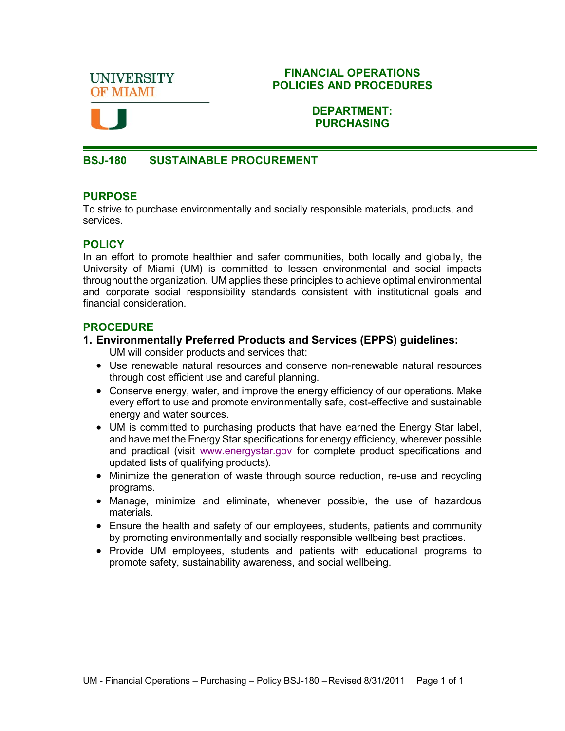**UNIVERSITY OF MIAMI** 

#### **FINANCIAL OPERATIONS POLICIES AND PROCEDURES**



### **DEPARTMENT: PURCHASING**

### **BSJ-180 SUSTAINABLE PROCUREMENT**

### **PURPOSE**

To strive to purchase environmentally and socially responsible materials, products, and services.

# **POLICY**

In an effort to promote healthier and safer communities, both locally and globally, the University of Miami (UM) is committed to lessen environmental and social impacts throughout the organization. UM applies these principles to achieve optimal environmental and corporate social responsibility standards consistent with institutional goals and financial consideration.

### **PROCEDURE**

#### **1. Environmentally Preferred Products and Services (EPPS) guidelines:**

UM will consider products and services that:

- Use renewable natural resources and conserve non-renewable natural resources through cost efficient use and careful planning.
- Conserve energy, water, and improve the energy efficiency of our operations. Make every effort to use and promote environmentally safe, cost-effective and sustainable energy and water sources.
- UM is committed to purchasing products that have earned the Energy Star label, and have met the Energy Star specifications for energy efficiency, wherever possible and practical (visit [www.energystar.gov f](http://www.energystar.gov/)or complete product specifications and updated lists of qualifying products).
- Minimize the generation of waste through source reduction, re-use and recycling programs.
- Manage, minimize and eliminate, whenever possible, the use of hazardous materials.
- Ensure the health and safety of our employees, students, patients and community by promoting environmentally and socially responsible wellbeing best practices.
- Provide UM employees, students and patients with educational programs to promote safety, sustainability awareness, and social wellbeing.